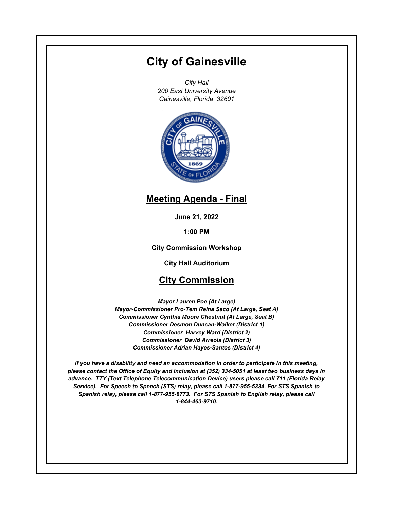# **City of Gainesville**

*City Hall 200 East University Avenue Gainesville, Florida 32601*



# **Meeting Agenda - Final**

**June 21, 2022**

**1:00 PM**

**City Commission Workshop**

**City Hall Auditorium**

## **City Commission**

*Mayor Lauren Poe (At Large) Mayor-Commissioner Pro-Tem Reina Saco (At Large, Seat A) Commissioner Cynthia Moore Chestnut (At Large, Seat B) Commissioner Desmon Duncan-Walker (District 1) Commissioner Harvey Ward (District 2) Commissioner David Arreola (District 3) Commissioner Adrian Hayes-Santos (District 4)*

*If you have a disability and need an accommodation in order to participate in this meeting, please contact the Office of Equity and Inclusion at (352) 334-5051 at least two business days in advance. TTY (Text Telephone Telecommunication Device) users please call 711 (Florida Relay Service). For Speech to Speech (STS) relay, please call 1-877-955-5334. For STS Spanish to Spanish relay, please call 1-877-955-8773. For STS Spanish to English relay, please call 1-844-463-9710.*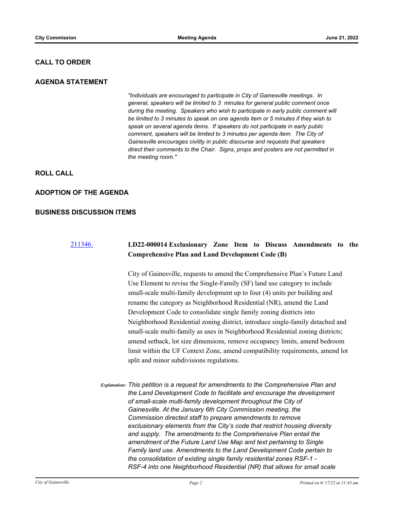#### **CALL TO ORDER**

#### **AGENDA STATEMENT**

*"Individuals are encouraged to participate in City of Gainesville meetings. In general, speakers will be limited to 3 minutes for general public comment once during the meeting. Speakers who wish to participate in early public comment will be limited to 3 minutes to speak on one agenda item or 5 minutes if they wish to speak on several agenda items. If speakers do not participate in early public comment, speakers will be limited to 3 minutes per agenda item. The City of Gainesville encourages civility in public discourse and requests that speakers direct their comments to the Chair. Signs, props and posters are not permitted in the meeting room."*

### **ROLL CALL**

#### **ADOPTION OF THE AGENDA**

#### **BUSINESS DISCUSSION ITEMS**

### [211346.](http://gainesville.legistar.com/gateway.aspx?m=l&id=/matter.aspx?key=34128) **LD22-000014 Exclusionary Zone Item to Discuss Amendments to the Comprehensive Plan and Land Development Code (B)**

City of Gainesville, requests to amend the Comprehensive Plan's Future Land Use Element to revise the Single-Family (SF) land use category to include small-scale multi-family development up to four (4) units per building and rename the category as Neighborhood Residential (NR), amend the Land Development Code to consolidate single family zoning districts into Neighborhood Residential zoning district, introduce single-family detached and small-scale multi-family as uses in Neighborhood Residential zoning districts; amend setback, lot size dimensions, remove occupancy limits, amend bedroom limit within the UF Context Zone, amend compatibility requirements, amend lot split and minor subdivisions regulations.

*Explanation: This petition is a request for amendments to the Comprehensive Plan and the Land Development Code to facilitate and encourage the development of small-scale multi-family development throughout the City of Gainesville. At the January 6th City Commission meeting, the Commission directed staff to prepare amendments to remove exclusionary elements from the City's code that restrict housing diversity and supply. The amendments to the Comprehensive Plan entail the amendment of the Future Land Use Map and text pertaining to Single Family land use. Amendments to the Land Development Code pertain to the consolidation of existing single family residential zones RSF-1 - RSF-4 into one Neighborhood Residential (NR) that allows for small scale*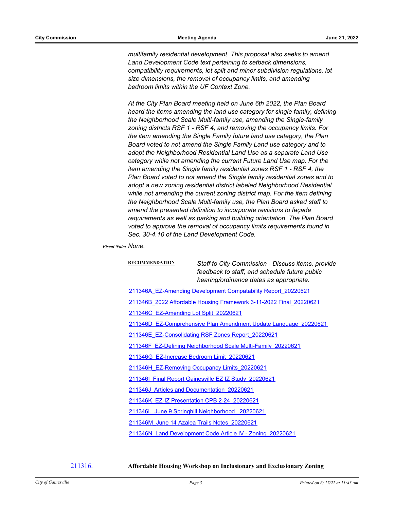*multifamily residential development. This proposal also seeks to amend Land Development Code text pertaining to setback dimensions, compatibility requirements, lot split and minor subdivision regulations, lot size dimensions, the removal of occupancy limits, and amending bedroom limits within the UF Context Zone.* 

*At the City Plan Board meeting held on June 6th 2022, the Plan Board heard the items amending the land use category for single family, defining the Neighborhood Scale Multi-family use, amending the Single-family zoning districts RSF 1 - RSF 4, and removing the occupancy limits. For the item amending the Single Family future land use category, the Plan Board voted to not amend the Single Family Land use category and to adopt the Neighborhood Residential Land Use as a separate Land Use category while not amending the current Future Land Use map. For the item amending the Single family residential zones RSF 1 - RSF 4, the Plan Board voted to not amend the Single family residential zones and to adopt a new zoning residential district labeled Neighborhood Residential while not amending the current zoning district map. For the item defining the Neighborhood Scale Multi-family use, the Plan Board asked staff to amend the presented definition to incorporate revisions to façade requirements as well as parking and building orientation. The Plan Board voted to approve the removal of occupancy limits requirements found in Sec. 30-4.10 of the Land Development Code.*

*Fiscal Note: None.*

**RECOMMENDATION** *Staff to City Commission - Discuss items, provide feedback to staff, and schedule future public hearing/ordinance dates as appropriate.* [211346A\\_EZ-Amending Development Compatability Report\\_20220621](http://Gainesville.legistar.com/gateway.aspx?M=F&ID=d9363591-91a7-4458-b148-7529223252ab.pdf) [211346B\\_2022 Affordable Housing Framework 3-11-2022 Final\\_20220621](http://Gainesville.legistar.com/gateway.aspx?M=F&ID=5780e35c-8d05-447a-81d3-2d060b933e2f.pdf)

[211346C\\_EZ-Amending Lot Split\\_20220621](http://Gainesville.legistar.com/gateway.aspx?M=F&ID=cac56749-7666-4d3c-8070-d6baa5037126.pdf)

[211346D\\_EZ-Comprehensive Plan Amendment Update Language\\_20220621](http://Gainesville.legistar.com/gateway.aspx?M=F&ID=f5bc647f-867d-47c3-b2c5-29bdf71a3708.pdf)

[211346E\\_EZ-Consolidating RSF Zones Report\\_20220621](http://Gainesville.legistar.com/gateway.aspx?M=F&ID=a526013b-d6eb-4929-83fa-d5864c072919.pdf)

[211346F\\_EZ-Defining Neighborhood Scale Multi-Family\\_20220621](http://Gainesville.legistar.com/gateway.aspx?M=F&ID=2237e637-701d-46c5-8cd7-a247c879074a.pdf)

[211346G\\_EZ-Increase Bedroom Limit\\_20220621](http://Gainesville.legistar.com/gateway.aspx?M=F&ID=9f94ed0c-2721-4048-9639-b7185a34f545.pdf)

[211346H\\_EZ-Removing Occupancy Limits\\_20220621](http://Gainesville.legistar.com/gateway.aspx?M=F&ID=5edb030e-d41e-4b43-89cd-2bdfc28166f9.pdf)

211346I Final Report Gainesville EZ IZ Study 20220621

[211346J\\_Articles and Documentation\\_20220621](http://Gainesville.legistar.com/gateway.aspx?M=F&ID=0cc1f5c7-cd86-45aa-956d-8f475530b330.pdf)

[211346K\\_EZ-IZ Presentation CPB 2-24\\_20220621](http://Gainesville.legistar.com/gateway.aspx?M=F&ID=2a5466fd-3655-46f4-a67c-5c284ba5d814.pdf)

[211346L\\_June 9 Springhill Neighborhood \\_20220621](http://Gainesville.legistar.com/gateway.aspx?M=F&ID=fffa2428-2c31-46ca-b5a2-a5c9dabd968a.pdf)

[211346M\\_June 14 Azalea Trails Notes\\_20220621](http://Gainesville.legistar.com/gateway.aspx?M=F&ID=aae8af70-4688-42b7-b278-3cef9248b253.pdf)

[211346N\\_Land Development Code Article IV - Zoning\\_20220621](http://Gainesville.legistar.com/gateway.aspx?M=F&ID=24ae503c-ee6e-47ac-96fc-b229423788f4.pdf)

#### [211316.](http://gainesville.legistar.com/gateway.aspx?m=l&id=/matter.aspx?key=34098) **Affordable Housing Workshop on Inclusionary and Exclusionary Zoning**